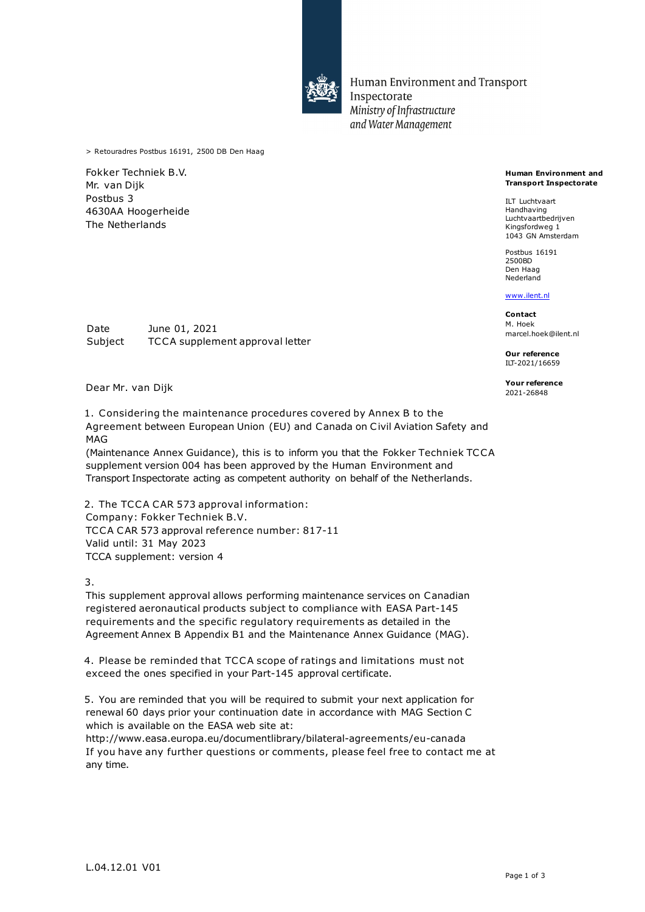

Human Environment and Transport Inspectorate Ministry of Infrastructure and Water Management

> Retouradres Postbus 16191, 2500 DB Den Haag

Fokker Techniek B.V. Mr. van Dijk Postbus 3 4630AA Hoogerheide The Netherlands

**Human Environment and Transport Inspectorate**

ILT Luchtvaart Handhaving Luchtvaartbedrijven Kingsfordweg 1 1043 GN Amsterdam

Postbus 16191 2500BD Den Haag Nederland

### [www.ilent.nl](http://www.ilent.nl/)

**Contact** M. Hoek marcel.hoek@ilent.nl

**Our reference** ILT-2021/16659

**Your reference**

Date June 01, 2021 Subject TCCA supplement approval letter

Dear Mr. van Dijk

1. Considering the maintenance procedures covered by Annex B to the Agreement between European Union (EU) and Canada on Civil Aviation Safety and MAG

(Maintenance Annex Guidance), this is to inform you that the Fokker Techniek TCCA supplement version 004 has been approved by the Human Environment and Transport Inspectorate acting as competent authority on behalf of the Netherlands.

2. The TCCA CAR 573 approval information: Company: Fokker Techniek B.V. TCCA CAR 573 approval reference number: 817-11 Valid until: 31 May 2023 TCCA supplement: version 4

3.

This supplement approval allows performing maintenance services on Canadian registered aeronautical products subject to compliance with EASA Part-145 requirements and the specific regulatory requirements as detailed in the Agreement Annex B Appendix B1 and the Maintenance Annex Guidance (MAG).

4. Please be reminded that TCCA scope of ratings and limitations must not exceed the ones specified in your Part-145 approval certificate.

5. You are reminded that you will be required to submit your next application for renewal 60 days prior your continuation date in accordance with MAG Section C which is available on the EASA web site at:

http://www.easa.europa.eu/documentlibrary/bilateral-agreements/eu-canada If you have any further questions or comments, please feel free to contact me at any time.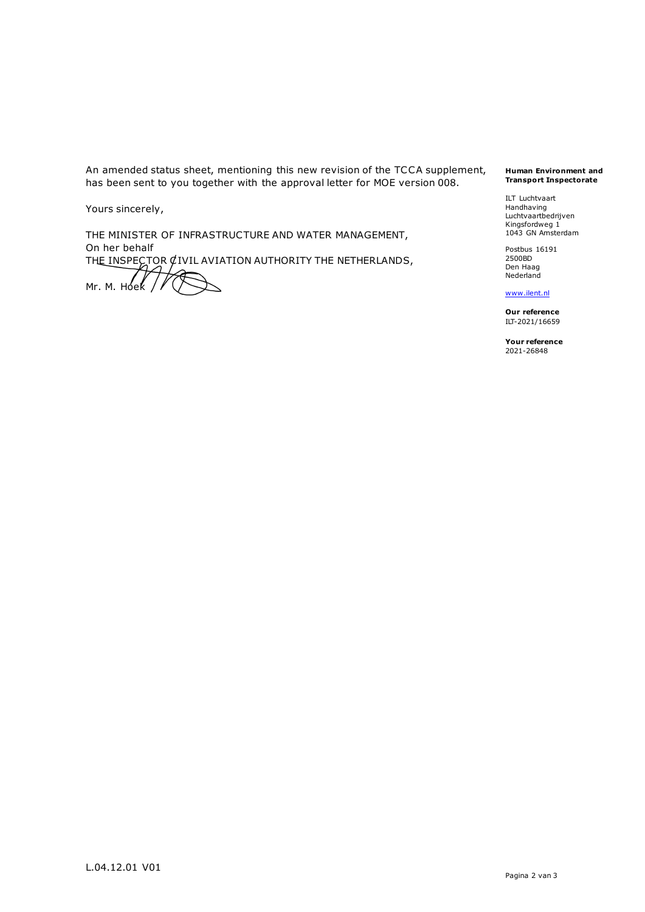An amended status sheet, mentioning this new revision of the TCCA supplement, has been sent to you together with the approval letter for MOE version 008.

Yours sincerely,

THE MINISTER OF INFRASTRUCTURE AND WATER MANAGEMENT, On her behalf THE INSPECTOR CIVIL AVIATION AUTHORITY THE NETHERLANDS, Mr. M. Hoek

#### **Human Environment and Transport Inspectorate**

ILT Luchtvaart Handhaving Luchtvaartbedrijven Kingsfordweg 1 1043 GN Amsterdam

Postbus 16191 2500BD Den Haag Nederland

# [www.ilent.nl](http://www.ilent.nl/)

**Our reference** ILT-2021/16659

**Your reference** 2021-26848